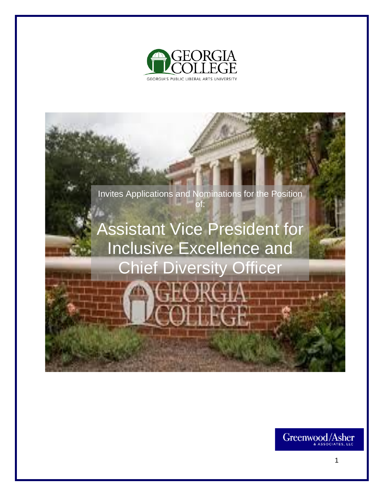



# Assistant Vice President for Inclusive Excellence and Chief Diversity Officer

Greenwood/Asher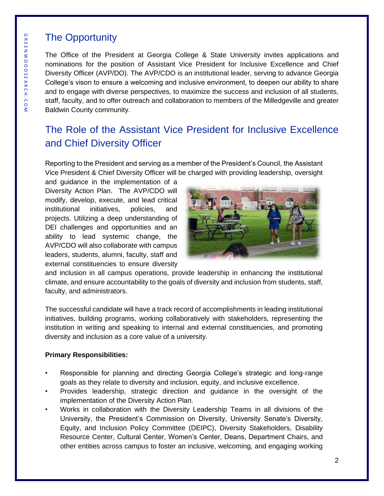# The Opportunity

The Office of the President at Georgia College & State University invites applications and nominations for the position of Assistant Vice President for Inclusive Excellence and Chief Diversity Officer (AVP/DO). The AVP/CDO is an institutional leader, serving to advance Georgia College's vison to ensure a welcoming and inclusive environment, to deepen our ability to share and to engage with diverse perspectives, to maximize the success and inclusion of all students, staff, faculty, and to offer outreach and collaboration to members of the Milledgeville and greater Baldwin County community.

# The Role of the Assistant Vice President for Inclusive Excellence and Chief Diversity Officer

Reporting to the President and serving as a member of the President's Council, the Assistant Vice President & Chief Diversity Officer will be charged with providing leadership, oversight

and guidance in the implementation of a Diversity Action Plan. The AVP/CDO will modify, develop, execute, and lead critical institutional initiatives, policies, and projects. Utilizing a deep understanding of DEI challenges and opportunities and an ability to lead systemic change, the AVP/CDO will also collaborate with campus leaders, students, alumni, faculty, staff and external constituencies to ensure diversity



and inclusion in all campus operations, provide leadership in enhancing the institutional climate, and ensure accountability to the goals of diversity and inclusion from students, staff, faculty, and administrators.

The successful candidate will have a track record of accomplishments in leading institutional initiatives, building programs, working collaboratively with stakeholders, representing the institution in writing and speaking to internal and external constituencies, and promoting diversity and inclusion as a core value of a university.

### **Primary Responsibilities:**

- Responsible for planning and directing Georgia College's strategic and long-range goals as they relate to diversity and inclusion, equity, and inclusive excellence.
- Provides leadership, strategic direction and guidance in the oversight of the implementation of the Diversity Action Plan.
- Works in collaboration with the Diversity Leadership Teams in all divisions of the University, the President's Commission on Diversity, University Senate's Diversity, Equity, and Inclusion Policy Committee (DEIPC), Diversity Stakeholders, Disability Resource Center, Cultural Center, Women's Center, Deans, Department Chairs, and other entities across campus to foster an inclusive, welcoming, and engaging working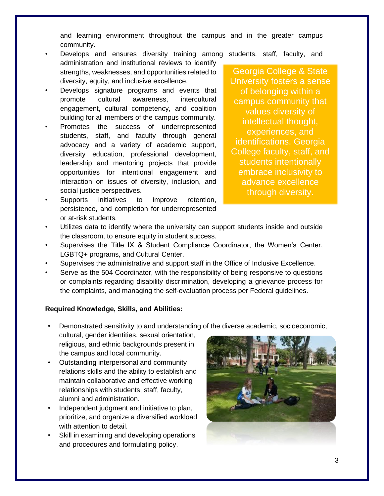and learning environment throughout the campus and in the greater campus community.

- Develops and ensures diversity training among students, staff, faculty, and administration and institutional reviews to identify strengths, weaknesses, and opportunities related to diversity, equity, and inclusive excellence.
- Develops signature programs and events that promote cultural awareness, intercultural engagement, cultural competency, and coalition building for all members of the campus community.
- Promotes the success of underrepresented students, staff, and faculty through general advocacy and a variety of academic support, diversity education, professional development, leadership and mentoring projects that provide opportunities for intentional engagement and interaction on issues of diversity, inclusion, and social justice perspectives.
- Supports initiatives to improve retention, persistence, and completion for underrepresented or at-risk students.

Georgia College & State University fosters a sense of belonging within a campus community that values diversity of intellectual thought, experiences, and identifications. Georgia College faculty, staff, and students intentionally embrace inclusivity to advance excellence through diversity.

- Utilizes data to identify where the university can support students inside and outside the classroom, to ensure equity in student success.
- Supervises the Title IX & Student Compliance Coordinator, the Women's Center, LGBTQ+ programs, and Cultural Center.
- Supervises the administrative and support staff in the Office of Inclusive Excellence.
- Serve as the 504 Coordinator, with the responsibility of being responsive to questions or complaints regarding disability discrimination, developing a grievance process for the complaints, and managing the self-evaluation process per Federal guidelines.

### **Required Knowledge, Skills, and Abilities:**

- Demonstrated sensitivity to and understanding of the diverse academic, socioeconomic,
- cultural, gender identities, sexual orientation, religious, and ethnic backgrounds present in the campus and local community.
- Outstanding interpersonal and community relations skills and the ability to establish and maintain collaborative and effective working relationships with students, staff, faculty, alumni and administration.
- Independent judgment and initiative to plan, prioritize, and organize a diversified workload with attention to detail.
- Skill in examining and developing operations and procedures and formulating policy.

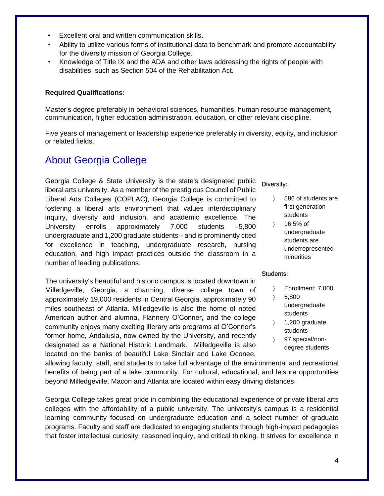- Excellent oral and written communication skills.
- Ability to utilize various forms of institutional data to benchmark and promote accountability for the diversity mission of Georgia College.
- Knowledge of Title IX and the ADA and other laws addressing the rights of people with disabilities, such as Section 504 of the Rehabilitation Act.

### **Required Qualifications:**

Master's degree preferably in behavioral sciences, humanities, human resource management, communication, higher education administration, education, or other relevant discipline.

Five years of management or leadership experience preferably in diversity, equity, and inclusion or related fields.

## About Georgia College

Georgia College & State University is the state's designated public liberal arts university. As a member of the prestigious Council of Public Liberal Arts Colleges (COPLAC), Georgia College is committed to fostering a liberal arts environment that values interdisciplinary inquiry, diversity and inclusion, and academic excellence. The University enrolls approximately 7,000 students –5,800 undergraduate and 1,200 graduate students-- and is prominently cited for excellence in teaching, undergraduate research, nursing education, and high impact practices outside the classroom in a number of leading publications.

The university's beautiful and historic campus is located downtown in Milledgeville, Georgia, a charming, diverse college town of approximately 19,000 residents in Central Georgia, approximately 90 miles southeast of Atlanta. Milledgeville is also the home of noted American author and alumna, Flannery O'Conner, and the college community enjoys many exciting literary arts programs at O'Connor's former home, Andalusia, now owned by the University, and recently designated as a National Historic Landmark. Milledgeville is also located on the banks of beautiful Lake Sinclair and Lake Oconee,

Diversity:

- 586 of students are first generation students
- $\angle$  16.5% of undergraduate students are underrepresented minorities

#### Students:

- Enrollment: 7,000
- $5,800$
- undergraduate students
- $\angle$  1,200 graduate students
- 97 special/nondegree students

allowing faculty, staff, and students to take full advantage of the environmental and recreational benefits of being part of a lake community. For cultural, educational, and leisure opportunities beyond Milledgeville, Macon and Atlanta are located within easy driving distances.

Georgia College takes great pride in combining the educational experience of private liberal arts colleges with the affordability of a public university. The university's campus is a residential learning community focused on undergraduate education and a select number of graduate programs. Faculty and staff are dedicated to engaging students through high-impact pedagogies that foster intellectual curiosity, reasoned inquiry, and critical thinking. It strives for excellence in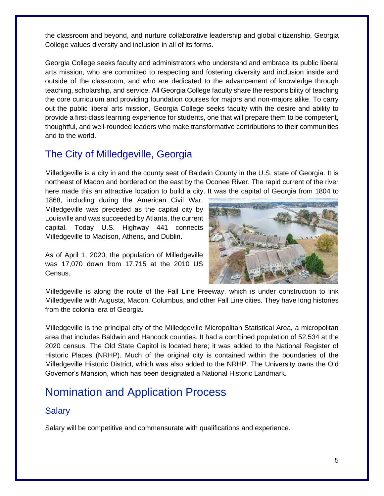the classroom and beyond, and nurture collaborative leadership and global citizenship, Georgia College values diversity and inclusion in all of its forms.

Georgia College seeks faculty and administrators who understand and embrace its public liberal arts mission, who are committed to respecting and fostering diversity and inclusion inside and outside of the classroom, and who are dedicated to the advancement of knowledge through teaching, scholarship, and service. All Georgia College faculty share the responsibility of teaching the core curriculum and providing foundation courses for majors and non-majors alike. To carry out the public liberal arts mission, Georgia College seeks faculty with the desire and ability to provide a first-class learning experience for students, one that will prepare them to be competent, thoughtful, and well-rounded leaders who make transformative contributions to their communities and to the world.

# The City of Milledgeville, Georgia

Milledgeville is a city in and the county seat of Baldwin County in the U.S. state of Georgia. It is northeast of Macon and bordered on the east by the Oconee River. The rapid current of the river here made this an attractive location to build a city. It was the capital of Georgia from 1804 to

1868, including during the American Civil War. Milledgeville was preceded as the capital city by Louisville and was succeeded by Atlanta, the current capital. Today U.S. Highway 441 connects Milledgeville to Madison, Athens, and Dublin.

As of April 1, 2020, the population of Milledgeville was 17,070 down from 17,715 at the 2010 US Census.



Milledgeville is along the route of the Fall Line Freeway, which is under construction to link Milledgeville with Augusta, Macon, Columbus, and other Fall Line cities. They have long histories from the colonial era of Georgia.

Milledgeville is the principal city of the Milledgeville Micropolitan Statistical Area, a micropolitan area that includes Baldwin and Hancock counties. It had a combined population of 52,534 at the 2020 census. The Old State Capitol is located here; it was added to the National Register of Historic Places (NRHP). Much of the original city is contained within the boundaries of the Milledgeville Historic District, which was also added to the NRHP. The University owns the Old Governor's Mansion, which has been designated a National Historic Landmark.

# Nomination and Application Process

### **Salary**

Salary will be competitive and commensurate with qualifications and experience.